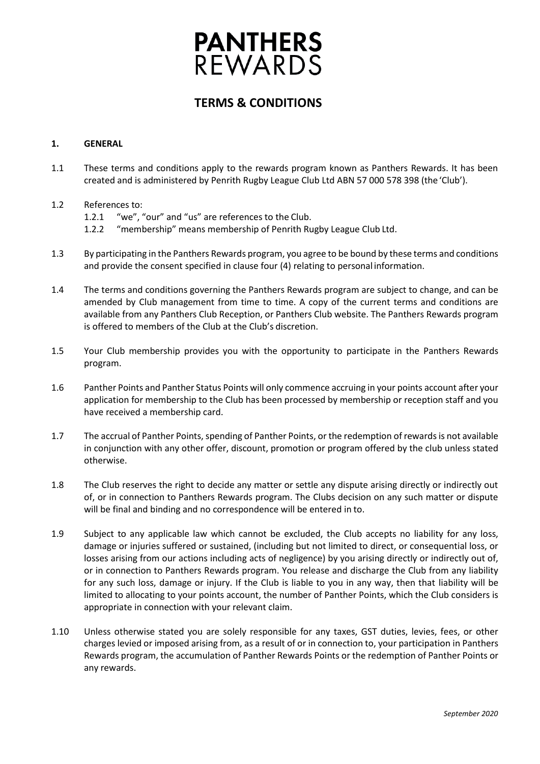# **PANTHERS**<br>REWARDS

# **TERMS & CONDITIONS**

# **1. GENERAL**

- 1.1 These terms and conditions apply to the rewards program known as Panthers Rewards. It has been created and is administered by Penrith Rugby League Club Ltd ABN 57 000 578 398 (the'Club').
- 1.2 References to:
	- 1.2.1 "we", "our" and "us" are references to the Club.
	- 1.2.2 "membership" means membership of Penrith Rugby League Club Ltd.
- 1.3 By participating in the Panthers Rewards program, you agree to be bound by these terms and conditions and provide the consent specified in clause four (4) relating to personal information.
- 1.4 The terms and conditions governing the Panthers Rewards program are subject to change, and can be amended by Club management from time to time. A copy of the current terms and conditions are available from any Panthers Club Reception, or Panthers Club website. The Panthers Rewards program is offered to members of the Club at the Club's discretion.
- 1.5 Your Club membership provides you with the opportunity to participate in the Panthers Rewards program.
- 1.6 Panther Points and Panther Status Points will only commence accruing in your points account after your application for membership to the Club has been processed by membership or reception staff and you have received a membership card.
- 1.7 The accrual of Panther Points, spending of Panther Points, or the redemption of rewards is not available in conjunction with any other offer, discount, promotion or program offered by the club unless stated otherwise.
- 1.8 The Club reserves the right to decide any matter or settle any dispute arising directly or indirectly out of, or in connection to Panthers Rewards program. The Clubs decision on any such matter or dispute will be final and binding and no correspondence will be entered in to.
- 1.9 Subject to any applicable law which cannot be excluded, the Club accepts no liability for any loss, damage or injuries suffered or sustained, (including but not limited to direct, or consequential loss, or losses arising from our actions including acts of negligence) by you arising directly or indirectly out of, or in connection to Panthers Rewards program. You release and discharge the Club from any liability for any such loss, damage or injury. If the Club is liable to you in any way, then that liability will be limited to allocating to your points account, the number of Panther Points, which the Club considers is appropriate in connection with your relevant claim.
- 1.10 Unless otherwise stated you are solely responsible for any taxes, GST duties, levies, fees, or other charges levied or imposed arising from, as a result of or in connection to, your participation in Panthers Rewards program, the accumulation of Panther Rewards Points or the redemption of Panther Points or any rewards.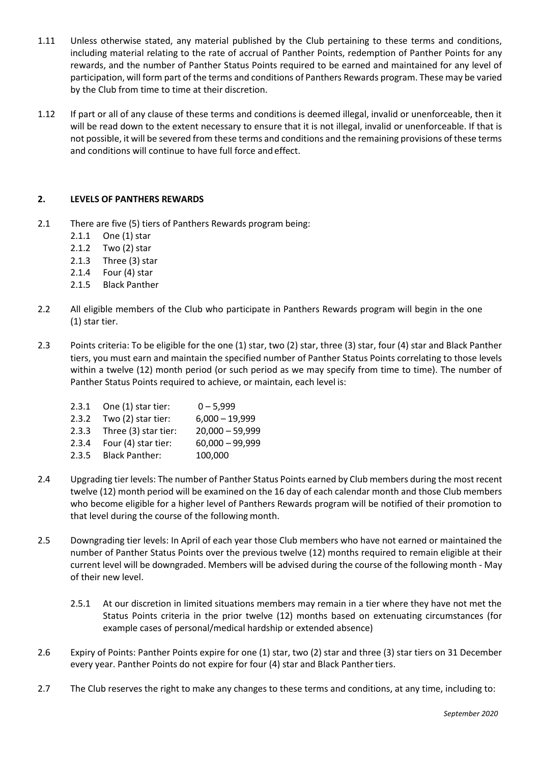- 1.11 Unless otherwise stated, any material published by the Club pertaining to these terms and conditions, including material relating to the rate of accrual of Panther Points, redemption of Panther Points for any rewards, and the number of Panther Status Points required to be earned and maintained for any level of participation, will form part of the terms and conditions of Panthers Rewards program. These may be varied by the Club from time to time at their discretion.
- 1.12 If part or all of any clause of these terms and conditions is deemed illegal, invalid or unenforceable, then it will be read down to the extent necessary to ensure that it is not illegal, invalid or unenforceable. If that is not possible, it will be severed from these terms and conditions and the remaining provisions of these terms and conditions will continue to have full force and effect.

# **2. LEVELS OF PANTHERS REWARDS**

- 2.1 There are five (5) tiers of Panthers Rewards program being:
	- 2.1.1 One (1) star
	- 2.1.2 Two (2) star
	- 2.1.3 Three (3) star
	-
	- 2.1.4 Four (4) star<br>2.1.5 Black Panthe **Black Panther**
- 2.2 All eligible members of the Club who participate in Panthers Rewards program will begin in the one (1) star tier.
- 2.3 Points criteria: To be eligible for the one (1) star, two (2) star, three (3) star, four (4) star and Black Panther tiers, you must earn and maintain the specified number of Panther Status Points correlating to those levels within a twelve (12) month period (or such period as we may specify from time to time). The number of Panther Status Points required to achieve, or maintain, each level is:

|       | $2.3.1$ One $(1)$ star tier: | $0 - 5,999$       |
|-------|------------------------------|-------------------|
|       | $2.3.2$ Two $(2)$ star tier: | $6,000 - 19,999$  |
|       | 2.3.3 Three (3) star tier:   | $20,000 - 59,999$ |
| 2.3.4 | Four (4) star tier:          | $60,000 - 99,999$ |
|       | 2.3.5 Black Panther:         | 100,000           |

- 2.4 Upgrading tier levels: The number of Panther Status Points earned by Club members during the most recent twelve (12) month period will be examined on the 16 day of each calendar month and those Club members who become eligible for a higher level of Panthers Rewards program will be notified of their promotion to that level during the course of the following month.
- 2.5 Downgrading tier levels: In April of each year those Club members who have not earned or maintained the number of Panther Status Points over the previous twelve (12) months required to remain eligible at their current level will be downgraded. Members will be advised during the course of the following month - May of their new level.
	- 2.5.1 At our discretion in limited situations members may remain in a tier where they have not met the Status Points criteria in the prior twelve (12) months based on extenuating circumstances (for example cases of personal/medical hardship or extended absence)
- 2.6 Expiry of Points: Panther Points expire for one (1) star, two (2) star and three (3) star tiers on 31 December every year. Panther Points do not expire for four (4) star and Black Panthertiers.
- 2.7 The Club reserves the right to make any changes to these terms and conditions, at any time, including to: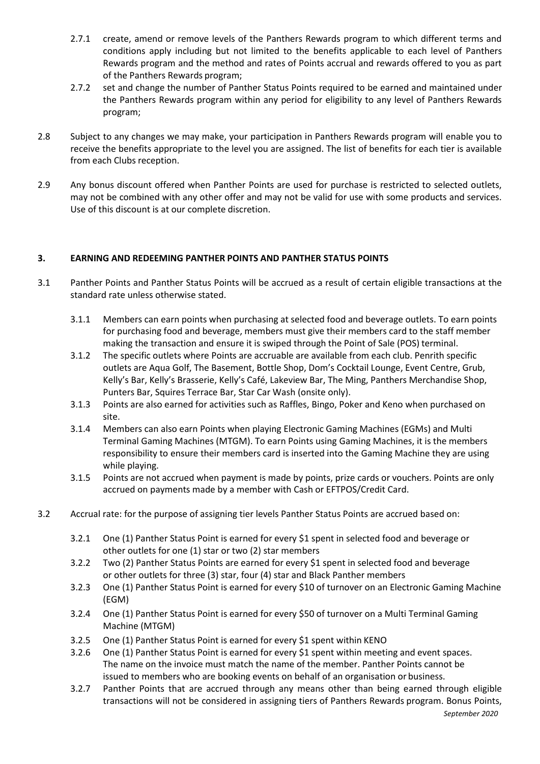- 2.7.1 create, amend or remove levels of the Panthers Rewards program to which different terms and conditions apply including but not limited to the benefits applicable to each level of Panthers Rewards program and the method and rates of Points accrual and rewards offered to you as part of the Panthers Rewards program;
- 2.7.2 set and change the number of Panther Status Points required to be earned and maintained under the Panthers Rewards program within any period for eligibility to any level of Panthers Rewards program;
- 2.8 Subject to any changes we may make, your participation in Panthers Rewards program will enable you to receive the benefits appropriate to the level you are assigned. The list of benefits for each tier is available from each Clubs reception.
- 2.9 Any bonus discount offered when Panther Points are used for purchase is restricted to selected outlets, may not be combined with any other offer and may not be valid for use with some products and services. Use of this discount is at our complete discretion.

# **3. EARNING AND REDEEMING PANTHER POINTS AND PANTHER STATUS POINTS**

- 3.1 Panther Points and Panther Status Points will be accrued as a result of certain eligible transactions at the standard rate unless otherwise stated.
	- 3.1.1 Members can earn points when purchasing at selected food and beverage outlets. To earn points for purchasing food and beverage, members must give their members card to the staff member making the transaction and ensure it is swiped through the Point of Sale (POS) terminal.
	- 3.1.2 The specific outlets where Points are accruable are available from each club. Penrith specific outlets are Aqua Golf, The Basement, Bottle Shop, Dom's Cocktail Lounge, Event Centre, Grub, Kelly's Bar, Kelly's Brasserie, Kelly's Café, Lakeview Bar, The Ming, Panthers Merchandise Shop, Punters Bar, Squires Terrace Bar, Star Car Wash (onsite only).
	- 3.1.3 Points are also earned for activities such as Raffles, Bingo, Poker and Keno when purchased on site.
	- 3.1.4 Members can also earn Points when playing Electronic Gaming Machines (EGMs) and Multi Terminal Gaming Machines (MTGM). To earn Points using Gaming Machines, it is the members responsibility to ensure their members card is inserted into the Gaming Machine they are using while playing.
	- 3.1.5 Points are not accrued when payment is made by points, prize cards or vouchers. Points are only accrued on payments made by a member with Cash or EFTPOS/Credit Card.
- 3.2 Accrual rate: for the purpose of assigning tier levels Panther Status Points are accrued based on:
	- 3.2.1 One (1) Panther Status Point is earned for every \$1 spent in selected food and beverage or other outlets for one (1) star or two (2) star members
	- 3.2.2 Two (2) Panther Status Points are earned for every \$1 spent in selected food and beverage or other outlets for three (3) star, four (4) star and Black Panther members
	- 3.2.3 One (1) Panther Status Point is earned for every \$10 of turnover on an Electronic Gaming Machine (EGM)
	- 3.2.4 One (1) Panther Status Point is earned for every \$50 of turnover on a Multi Terminal Gaming Machine (MTGM)
	- 3.2.5 One (1) Panther Status Point is earned for every \$1 spent within KENO
	- 3.2.6 One (1) Panther Status Point is earned for every \$1 spent within meeting and event spaces. The name on the invoice must match the name of the member. Panther Points cannot be issued to members who are booking events on behalf of an organisation or business.
	- 3.2.7 Panther Points that are accrued through any means other than being earned through eligible transactions will not be considered in assigning tiers of Panthers Rewards program. Bonus Points,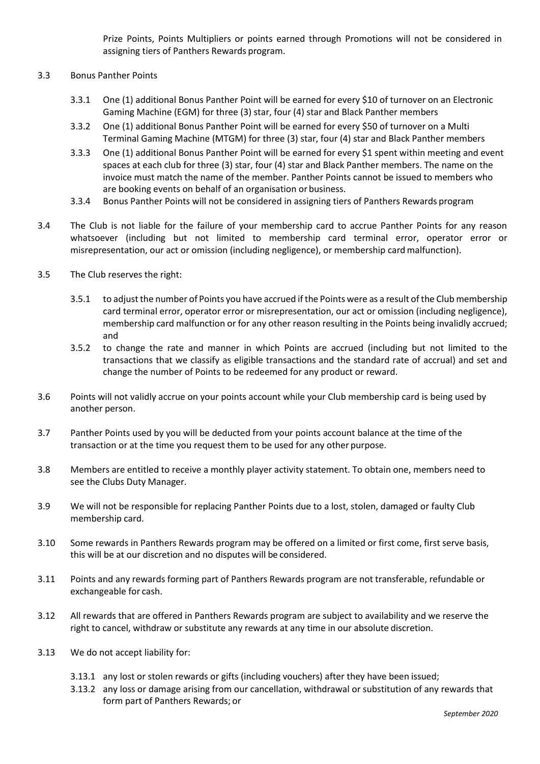Prize Points, Points Multipliers or points earned through Promotions will not be considered in assigning tiers of Panthers Rewards program.

- 3.3 Bonus Panther Points
	- 3.3.1 One (1) additional Bonus Panther Point will be earned for every \$10 of turnover on an Electronic Gaming Machine (EGM) for three (3) star, four (4) star and Black Panther members
	- 3.3.2 One (1) additional Bonus Panther Point will be earned for every \$50 of turnover on a Multi Terminal Gaming Machine (MTGM) for three (3) star, four (4) star and Black Panther members
	- 3.3.3 One (1) additional Bonus Panther Point will be earned for every \$1 spent within meeting and event spaces at each club for three (3) star, four (4) star and Black Panther members. The name on the invoice must match the name of the member. Panther Points cannot be issued to members who are booking events on behalf of an organisation or business.
	- 3.3.4 Bonus Panther Points will not be considered in assigning tiers of Panthers Rewards program
- 3.4 The Club is not liable for the failure of your membership card to accrue Panther Points for any reason whatsoever (including but not limited to membership card terminal error, operator error or misrepresentation, our act or omission (including negligence), or membership card malfunction).
- 3.5 The Club reserves the right:
	- 3.5.1 to adjust the number of Points you have accrued if the Points were as a result of the Club membership card terminal error, operator error or misrepresentation, our act or omission (including negligence), membership card malfunction or for any other reason resulting in the Points being invalidly accrued; and
	- 3.5.2 to change the rate and manner in which Points are accrued (including but not limited to the transactions that we classify as eligible transactions and the standard rate of accrual) and set and change the number of Points to be redeemed for any product or reward.
- 3.6 Points will not validly accrue on your points account while your Club membership card is being used by another person.
- 3.7 Panther Points used by you will be deducted from your points account balance at the time of the transaction or at the time you request them to be used for any other purpose.
- 3.8 Members are entitled to receive a monthly player activity statement. To obtain one, members need to see the Clubs Duty Manager.
- 3.9 We will not be responsible for replacing Panther Points due to a lost, stolen, damaged or faulty Club membership card.
- 3.10 Some rewards in Panthers Rewards program may be offered on a limited or first come, first serve basis, this will be at our discretion and no disputes will be considered.
- 3.11 Points and any rewards forming part of Panthers Rewards program are not transferable, refundable or exchangeable for cash.
- 3.12 All rewards that are offered in Panthers Rewards program are subject to availability and we reserve the right to cancel, withdraw or substitute any rewards at any time in our absolute discretion.
- 3.13 We do not accept liability for:
	- 3.13.1 any lost or stolen rewards or gifts (including vouchers) after they have been issued;
	- 3.13.2 any loss or damage arising from our cancellation, withdrawal or substitution of any rewards that form part of Panthers Rewards; or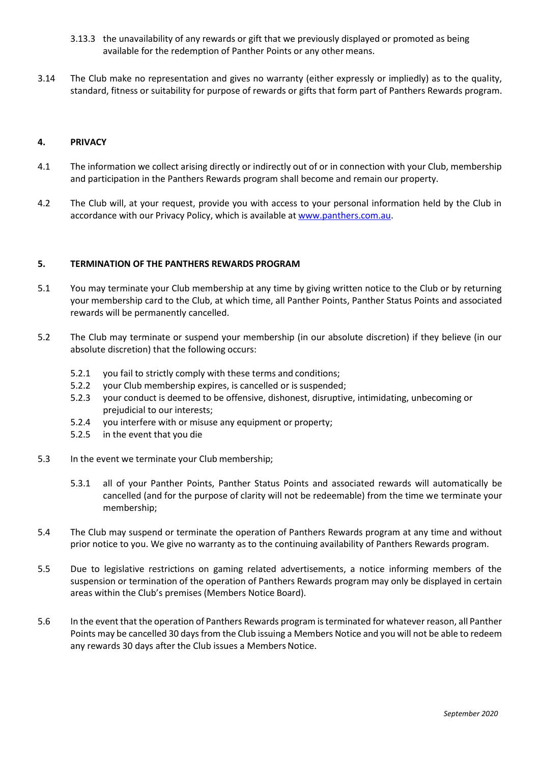- 3.13.3 the unavailability of any rewards or gift that we previously displayed or promoted as being available for the redemption of Panther Points or any other means.
- 3.14 The Club make no representation and gives no warranty (either expressly or impliedly) as to the quality, standard, fitness or suitability for purpose of rewards or gifts that form part of Panthers Rewards program.

### **4. PRIVACY**

- 4.1 The information we collect arising directly or indirectly out of or in connection with your Club, membership and participation in the Panthers Rewards program shall become and remain our property.
- 4.2 The Club will, at your request, provide you with access to your personal information held by the Club in accordance with our Privacy Policy, which is available at [www.panthers.com.au.](http://www.panthers.com.au/)

### **5. TERMINATION OF THE PANTHERS REWARDS PROGRAM**

- 5.1 You may terminate your Club membership at any time by giving written notice to the Club or by returning your membership card to the Club, at which time, all Panther Points, Panther Status Points and associated rewards will be permanently cancelled.
- 5.2 The Club may terminate or suspend your membership (in our absolute discretion) if they believe (in our absolute discretion) that the following occurs:
	- 5.2.1 you fail to strictly comply with these terms and conditions;
	- 5.2.2 your Club membership expires, is cancelled or is suspended;
	- 5.2.3 your conduct is deemed to be offensive, dishonest, disruptive, intimidating, unbecoming or prejudicial to our interests;
	- 5.2.4 you interfere with or misuse any equipment or property;
	- 5.2.5 in the event that you die
- 5.3 In the event we terminate your Club membership;
	- 5.3.1 all of your Panther Points, Panther Status Points and associated rewards will automatically be cancelled (and for the purpose of clarity will not be redeemable) from the time we terminate your membership;
- 5.4 The Club may suspend or terminate the operation of Panthers Rewards program at any time and without prior notice to you. We give no warranty as to the continuing availability of Panthers Rewards program.
- 5.5 Due to legislative restrictions on gaming related advertisements, a notice informing members of the suspension or termination of the operation of Panthers Rewards program may only be displayed in certain areas within the Club's premises (Members Notice Board).
- 5.6 In the event that the operation of Panthers Rewards program is terminated for whatever reason, all Panther Points may be cancelled 30 days from the Club issuing a Members Notice and you will not be able to redeem any rewards 30 days after the Club issues a Members Notice.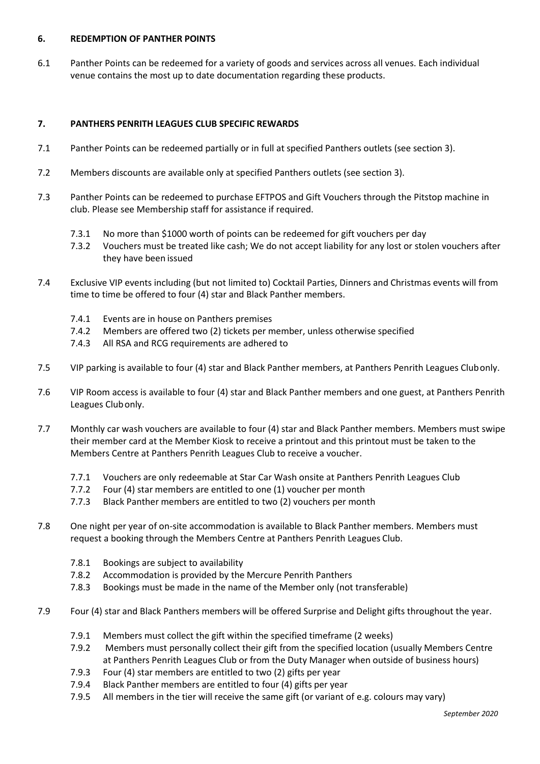# **6. REDEMPTION OF PANTHER POINTS**

6.1 Panther Points can be redeemed for a variety of goods and services across all venues. Each individual venue contains the most up to date documentation regarding these products.

# **7. PANTHERS PENRITH LEAGUES CLUB SPECIFIC REWARDS**

- 7.1 Panther Points can be redeemed partially or in full at specified Panthers outlets (see section 3).
- 7.2 Members discounts are available only at specified Panthers outlets (see section 3).
- 7.3 Panther Points can be redeemed to purchase EFTPOS and Gift Vouchers through the Pitstop machine in club. Please see Membership staff for assistance if required.
	- 7.3.1 No more than \$1000 worth of points can be redeemed for gift vouchers per day
	- 7.3.2 Vouchers must be treated like cash; We do not accept liability for any lost or stolen vouchers after they have been issued
- 7.4 Exclusive VIP events including (but not limited to) Cocktail Parties, Dinners and Christmas events will from time to time be offered to four (4) star and Black Panther members.
	- 7.4.1 Events are in house on Panthers premises
	- 7.4.2 Members are offered two (2) tickets per member, unless otherwise specified
	- 7.4.3 All RSA and RCG requirements are adhered to
- 7.5 VIP parking is available to four (4) star and Black Panther members, at Panthers Penrith Leagues Clubonly.
- 7.6 VIP Room access is available to four (4) star and Black Panther members and one guest, at Panthers Penrith Leagues Clubonly.
- 7.7 Monthly car wash vouchers are available to four (4) star and Black Panther members. Members must swipe their member card at the Member Kiosk to receive a printout and this printout must be taken to the Members Centre at Panthers Penrith Leagues Club to receive a voucher.
	- 7.7.1 Vouchers are only redeemable at Star Car Wash onsite at Panthers Penrith Leagues Club
	- 7.7.2 Four (4) star members are entitled to one (1) voucher per month
	- 7.7.3 Black Panther members are entitled to two (2) vouchers per month
- 7.8 One night per year of on-site accommodation is available to Black Panther members. Members must request a booking through the Members Centre at Panthers Penrith Leagues Club.
	- 7.8.1 Bookings are subject to availability
	- 7.8.2 Accommodation is provided by the Mercure Penrith Panthers
	- 7.8.3 Bookings must be made in the name of the Member only (not transferable)
- 7.9 Four (4) star and Black Panthers members will be offered Surprise and Delight gifts throughout the year.
	- 7.9.1 Members must collect the gift within the specified timeframe (2 weeks)
	- 7.9.2 Members must personally collect their gift from the specified location (usually Members Centre at Panthers Penrith Leagues Club or from the Duty Manager when outside of business hours)
	- 7.9.3 Four (4) star members are entitled to two (2) gifts per year
	- 7.9.4 Black Panther members are entitled to four (4) gifts per year
	- 7.9.5 All members in the tier will receive the same gift (or variant of e.g. colours may vary)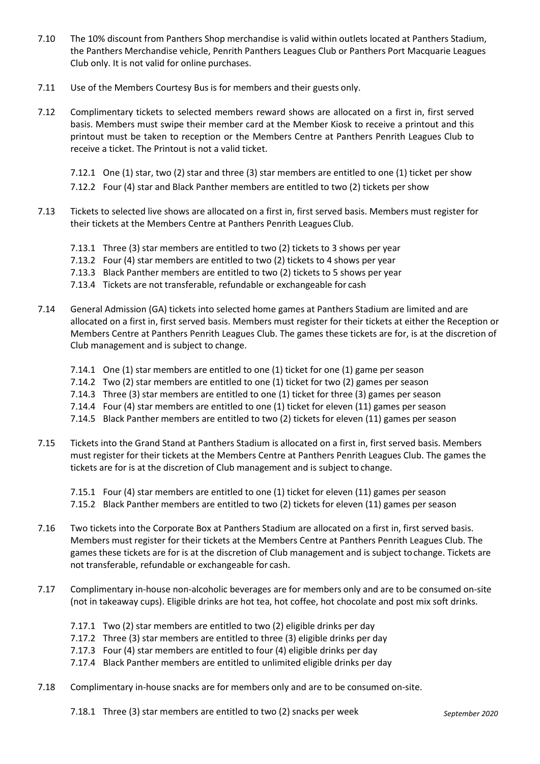- 7.10 The 10% discount from Panthers Shop merchandise is valid within outlets located at Panthers Stadium, the Panthers Merchandise vehicle, Penrith Panthers Leagues Club or Panthers Port Macquarie Leagues Club only. It is not valid for online purchases.
- 7.11 Use of the Members Courtesy Bus is for members and their guests only.
- 7.12 Complimentary tickets to selected members reward shows are allocated on a first in, first served basis. Members must swipe their member card at the Member Kiosk to receive a printout and this printout must be taken to reception or the Members Centre at Panthers Penrith Leagues Club to receive a ticket. The Printout is not a valid ticket.

7.12.1 One (1) star, two (2) star and three (3) star members are entitled to one (1) ticket per show

7.12.2 Four (4) star and Black Panther members are entitled to two (2) tickets per show

- 7.13 Tickets to selected live shows are allocated on a first in, first served basis. Members must register for their tickets at the Members Centre at Panthers Penrith Leagues Club.
	- 7.13.1 Three (3) star members are entitled to two (2) tickets to 3 shows per year
	- 7.13.2 Four (4) star members are entitled to two (2) tickets to 4 shows per year
	- 7.13.3 Black Panther members are entitled to two (2) tickets to 5 shows per year
	- 7.13.4 Tickets are not transferable, refundable or exchangeable for cash
- 7.14 General Admission (GA) tickets into selected home games at Panthers Stadium are limited and are allocated on a first in, first served basis. Members must register for their tickets at either the Reception or Members Centre at Panthers Penrith Leagues Club. The games these tickets are for, is at the discretion of Club management and is subject to change.
	- 7.14.1 One (1) star members are entitled to one (1) ticket for one (1) game per season
	- 7.14.2 Two (2) star members are entitled to one (1) ticket for two (2) games per season
	- 7.14.3 Three (3) star members are entitled to one (1) ticket for three (3) games per season
	- 7.14.4 Four (4) star members are entitled to one (1) ticket for eleven (11) games per season
	- 7.14.5 Black Panther members are entitled to two (2) tickets for eleven (11) games per season
- 7.15 Tickets into the Grand Stand at Panthers Stadium is allocated on a first in, first served basis. Members must register for their tickets at the Members Centre at Panthers Penrith Leagues Club. The games the tickets are for is at the discretion of Club management and is subject to change.

7.15.1 Four (4) star members are entitled to one (1) ticket for eleven (11) games per season

- 7.15.2 Black Panther members are entitled to two (2) tickets for eleven (11) games per season
- 7.16 Two tickets into the Corporate Box at Panthers Stadium are allocated on a first in, first served basis. Members must register for their tickets at the Members Centre at Panthers Penrith Leagues Club. The games these tickets are for is at the discretion of Club management and is subject tochange. Tickets are not transferable, refundable or exchangeable for cash.
- 7.17 Complimentary in-house non-alcoholic beverages are for members only and are to be consumed on-site (not in takeaway cups). Eligible drinks are hot tea, hot coffee, hot chocolate and post mix soft drinks.
	- 7.17.1 Two (2) star members are entitled to two (2) eligible drinks per day
	- 7.17.2 Three (3) star members are entitled to three (3) eligible drinks per day
	- 7.17.3 Four (4) star members are entitled to four (4) eligible drinks per day
	- 7.17.4 Black Panther members are entitled to unlimited eligible drinks per day
- 7.18 Complimentary in-house snacks are for members only and are to be consumed on-site.

7.18.1 Three (3) star members are entitled to two (2) snacks per week